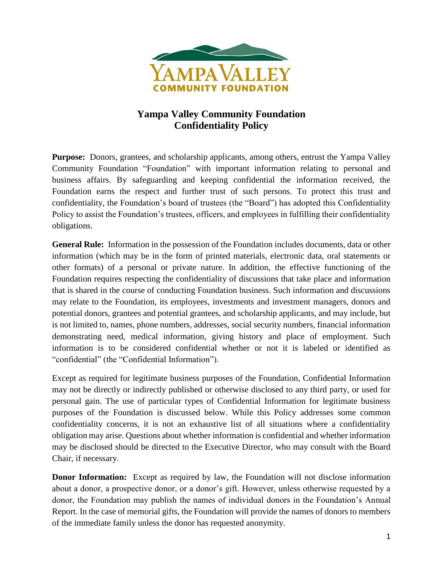

## **Yampa Valley Community Foundation Confidentiality Policy**

**Purpose:** Donors, grantees, and scholarship applicants, among others, entrust the Yampa Valley Community Foundation "Foundation" with important information relating to personal and business affairs. By safeguarding and keeping confidential the information received, the Foundation earns the respect and further trust of such persons. To protect this trust and confidentiality, the Foundation's board of trustees (the "Board") has adopted this Confidentiality Policy to assist the Foundation's trustees, officers, and employees in fulfilling their confidentiality obligations.

**General Rule:** Information in the possession of the Foundation includes documents, data or other information (which may be in the form of printed materials, electronic data, oral statements or other formats) of a personal or private nature. In addition, the effective functioning of the Foundation requires respecting the confidentiality of discussions that take place and information that is shared in the course of conducting Foundation business. Such information and discussions may relate to the Foundation, its employees, investments and investment managers, donors and potential donors, grantees and potential grantees, and scholarship applicants, and may include, but is not limited to, names, phone numbers, addresses, social security numbers, financial information demonstrating need, medical information, giving history and place of employment. Such information is to be considered confidential whether or not it is labeled or identified as "confidential" (the "Confidential Information").

Except as required for legitimate business purposes of the Foundation, Confidential Information may not be directly or indirectly published or otherwise disclosed to any third party, or used for personal gain. The use of particular types of Confidential Information for legitimate business purposes of the Foundation is discussed below. While this Policy addresses some common confidentiality concerns, it is not an exhaustive list of all situations where a confidentiality obligation may arise. Questions about whether information is confidential and whether information may be disclosed should be directed to the Executive Director, who may consult with the Board Chair, if necessary.

**Donor Information:** Except as required by law, the Foundation will not disclose information about a donor, a prospective donor, or a donor's gift. However, unless otherwise requested by a donor, the Foundation may publish the names of individual donors in the Foundation's Annual Report. In the case of memorial gifts, the Foundation will provide the names of donors to members of the immediate family unless the donor has requested anonymity.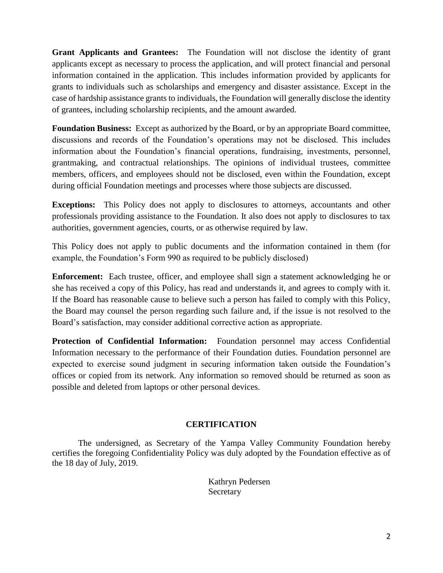**Grant Applicants and Grantees:** The Foundation will not disclose the identity of grant applicants except as necessary to process the application, and will protect financial and personal information contained in the application. This includes information provided by applicants for grants to individuals such as scholarships and emergency and disaster assistance. Except in the case of hardship assistance grants to individuals, the Foundation will generally disclose the identity of grantees, including scholarship recipients, and the amount awarded.

**Foundation Business:** Except as authorized by the Board, or by an appropriate Board committee, discussions and records of the Foundation's operations may not be disclosed. This includes information about the Foundation's financial operations, fundraising, investments, personnel, grantmaking, and contractual relationships. The opinions of individual trustees, committee members, officers, and employees should not be disclosed, even within the Foundation, except during official Foundation meetings and processes where those subjects are discussed.

**Exceptions:** This Policy does not apply to disclosures to attorneys, accountants and other professionals providing assistance to the Foundation. It also does not apply to disclosures to tax authorities, government agencies, courts, or as otherwise required by law.

This Policy does not apply to public documents and the information contained in them (for example, the Foundation's Form 990 as required to be publicly disclosed)

**Enforcement:** Each trustee, officer, and employee shall sign a statement acknowledging he or she has received a copy of this Policy, has read and understands it, and agrees to comply with it. If the Board has reasonable cause to believe such a person has failed to comply with this Policy, the Board may counsel the person regarding such failure and, if the issue is not resolved to the Board's satisfaction, may consider additional corrective action as appropriate.

**Protection of Confidential Information:** Foundation personnel may access Confidential Information necessary to the performance of their Foundation duties. Foundation personnel are expected to exercise sound judgment in securing information taken outside the Foundation's offices or copied from its network. Any information so removed should be returned as soon as possible and deleted from laptops or other personal devices.

## **CERTIFICATION**

The undersigned, as Secretary of the Yampa Valley Community Foundation hereby certifies the foregoing Confidentiality Policy was duly adopted by the Foundation effective as of the 18 day of July, 2019.

> Kathryn Pedersen **Secretary**